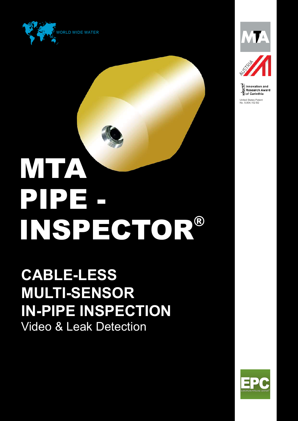



United States Patent No. 9,804,102 B2

PIPE - INSPECTOR® **MTA** 

**CABLE-LESS MULTI-SENSOR IN-PIPE INSPECTION** Video & Leak Detection

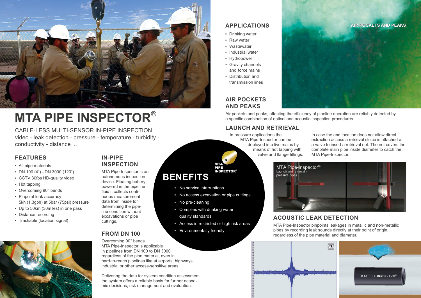# **IN-PIPE INSPECTION**

MTA Pipe-Inspector is an autonomous inspection device. Floating battery powered in the pipeline fluid it collects continuous measurement data from inside for determining the pipeline condition without excavations or pipe cuttings.

# **FROM DN 100**

Overcoming 90° bends MTA Pipe-Inspector is applicable in pipelines from DN 100 to DN 3000 regardless of the pipe material, even in hard-to-reach pipelines like at airports, highways, industrial or other access-sensitive areas.

Delivering the data for system condition assessment the system offers a reliable basis for further economic decisions, risk management and evaluation.

#### **AIR POCKETS AND PEAKS**

- Drinking water
- Raw water
- Wastewater
- **·** Industrial water
- Hydropower
- Gravity channels and force mains
- Distribution and transmission lines

Air pockets and peaks, affecting the efficiency of pipeline operation are reliably detected by a specific combination of optical and acoustic inspection procedures.

# **ACOUSTIC LEAK DETECTION**

MTA Pipe-Inspector pinpoints leakages in metallic and non-metallic pipes by recording leak sounds directly at their point of origin, regardless of the pipe material and diameter.

#### **LAUNCH AND RETRIEVAL**

In case the end location does not allow direct extraction access a retrieval sluice is attached at a valve to insert a retrieval net. The net covers the complete main pipe inside diameter to catch the MTA Pipe-Inspector.

MTA Pipe-Inspector<sup>®</sup><br>Launch and retrieval in pressure pipes

## **APPLICATIONS**

### **FEATURES**

- All pipe materials
- DN 100 (4") DN 3000 (120")
- CCTV 30fps HD-quality video
- Hot tapping
- Overcoming 90° bends
- **Pinpoint leak accuracy** 5l/h (1.3gph) at 5bar (75psi) pressure
- Up to 50km (30miles) in one pass
- Distance recording
- Trackable (location signal)



**BENEFITS**

▪ No service interruptions

▪ No access excavation or pipe cuttings

▪ Complies with drinking water

**Environmentally friendly** 

• No pre-cleaning

quality standards

▪ Access in restricted or high risk areas

PIPE - INSPECTOR®

MTA

CABLE-LESS MULTI-SENSOR IN-PIPE INSPECTION video - leak detection - pressure - temperature - turbidity conductivity - distance ...



# **MTA PIPE INSPECTOR**®







In pressure applications the MTA Pipe-Inspector can be deployed into live mains by means of hot tapping with valve and flange fittings.